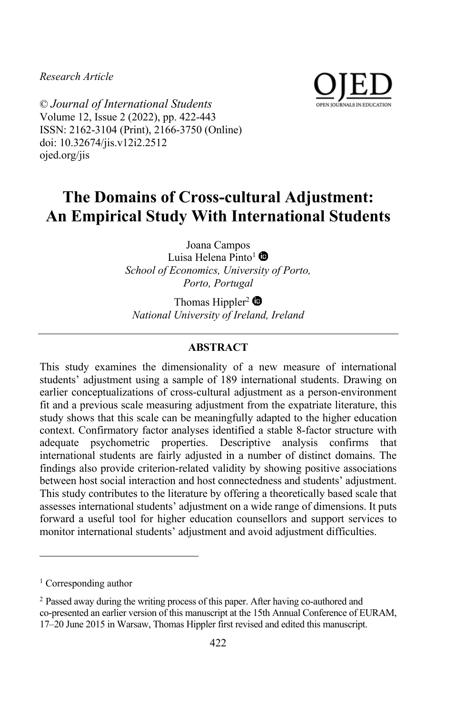*Research Article*



© *Journal of International Students* Volume 12, Issue 2 (2022), pp. 422-443 ISSN: 2162-3104 (Print), 2166-3750 (Online) doi: 10.32674/jis.v12i2.2512 ojed.org/jis

# **The Domains of Cross-cultural Adjustment: An Empirical Study With International Students**

Joana Campos Luisa Helena Pinto<sup>1</sup> *School of Economics, University of Porto, Porto, Portugal*

Thomas Hippler<sup>2</sup> $\bullet$ *National University of Ireland, Ireland*

# **ABSTRACT**

This study examines the dimensionality of a new measure of international students' adjustment using a sample of 189 international students. Drawing on earlier conceptualizations of cross-cultural adjustment as a person-environment fit and a previous scale measuring adjustment from the expatriate literature, this study shows that this scale can be meaningfully adapted to the higher education context. Confirmatory factor analyses identified a stable 8-factor structure with adequate psychometric properties. Descriptive analysis confirms that international students are fairly adjusted in a number of distinct domains. The findings also provide criterion-related validity by showing positive associations between host social interaction and host connectedness and students' adjustment. This study contributes to the literature by offering a theoretically based scale that assesses international students' adjustment on a wide range of dimensions. It puts forward a useful tool for higher education counsellors and support services to monitor international students' adjustment and avoid adjustment difficulties.

<sup>&</sup>lt;sup>1</sup> Corresponding author

<sup>&</sup>lt;sup>2</sup> Passed away during the writing process of this paper. After having co-authored and co-presented an earlier version of this manuscript at the 15th Annual Conference of EURAM, 17–20 June 2015 in Warsaw, Thomas Hippler first revised and edited this manuscript.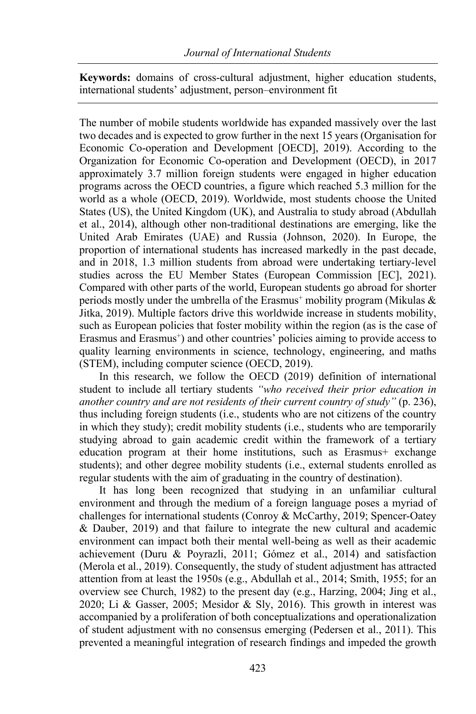**Keywords:** domains of cross-cultural adjustment, higher education students, international students' adjustment, person–environment fit

The number of mobile students worldwide has expanded massively over the last two decades and is expected to grow further in the next 15 years (Organisation for Economic Co-operation and Development [OECD], 2019). According to the Organization for Economic Co-operation and Development (OECD), in 2017 approximately 3.7 million foreign students were engaged in higher education programs across the OECD countries, a figure which reached 5.3 million for the world as a whole (OECD, 2019). Worldwide, most students choose the United States (US), the United Kingdom (UK), and Australia to study abroad (Abdullah et al., 2014), although other non-traditional destinations are emerging, like the United Arab Emirates (UAE) and Russia (Johnson, 2020). In Europe, the proportion of international students has increased markedly in the past decade, and in 2018, 1.3 million students from abroad were undertaking tertiary-level studies across the EU Member States (European Commission [EC], 2021). Compared with other parts of the world, European students go abroad for shorter periods mostly under the umbrella of the Erasmus<sup>+</sup> mobility program (Mikulas  $\&$ Jitka, 2019). Multiple factors drive this worldwide increase in students mobility, such as European policies that foster mobility within the region (as is the case of Erasmus and Erasmus<sup>+</sup>) and other countries' policies aiming to provide access to quality learning environments in science, technology, engineering, and maths (STEM), including computer science (OECD, 2019).

In this research, we follow the OECD (2019) definition of international student to include all tertiary students *"who received their prior education in another country and are not residents of their current country of study"* (p. 236), thus including foreign students (i.e., students who are not citizens of the country in which they study); credit mobility students (i.e., students who are temporarily studying abroad to gain academic credit within the framework of a tertiary education program at their home institutions, such as Erasmus+ exchange students); and other degree mobility students (i.e., external students enrolled as regular students with the aim of graduating in the country of destination).

It has long been recognized that studying in an unfamiliar cultural environment and through the medium of a foreign language poses a myriad of challenges for international students (Conroy & McCarthy, 2019; Spencer-Oatey & Dauber, 2019) and that failure to integrate the new cultural and academic environment can impact both their mental well-being as well as their academic achievement (Duru & Poyrazli, 2011; Gómez et al., 2014) and satisfaction (Merola et al., 2019). Consequently, the study of student adjustment has attracted attention from at least the 1950s (e.g., Abdullah et al., 2014; Smith, 1955; for an overview see Church, 1982) to the present day (e.g., Harzing, 2004; Jing et al., 2020; Li & Gasser, 2005; Mesidor & Sly, 2016). This growth in interest was accompanied by a proliferation of both conceptualizations and operationalization of student adjustment with no consensus emerging (Pedersen et al., 2011). This prevented a meaningful integration of research findings and impeded the growth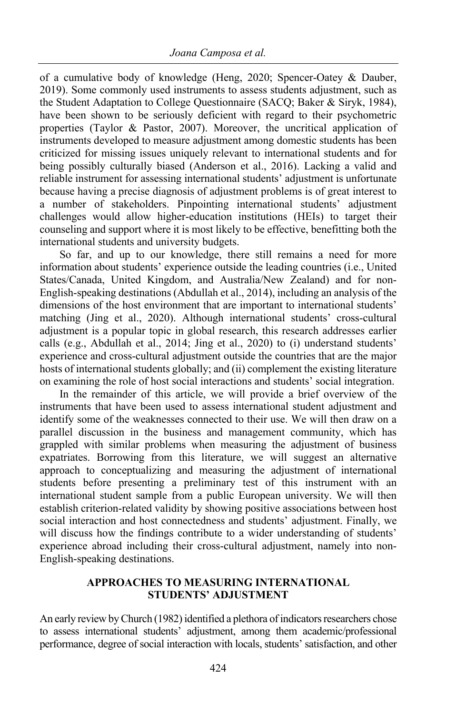of a cumulative body of knowledge (Heng, 2020; Spencer-Oatey & Dauber, 2019). Some commonly used instruments to assess students adjustment, such as the Student Adaptation to College Questionnaire (SACQ; Baker & Siryk, 1984), have been shown to be seriously deficient with regard to their psychometric properties (Taylor & Pastor, 2007). Moreover, the uncritical application of instruments developed to measure adjustment among domestic students has been criticized for missing issues uniquely relevant to international students and for being possibly culturally biased (Anderson et al., 2016). Lacking a valid and reliable instrument for assessing international students' adjustment is unfortunate because having a precise diagnosis of adjustment problems is of great interest to a number of stakeholders. Pinpointing international students' adjustment challenges would allow higher-education institutions (HEIs) to target their counseling and support where it is most likely to be effective, benefitting both the international students and university budgets.

So far, and up to our knowledge, there still remains a need for more information about students' experience outside the leading countries (i.e., United States/Canada, United Kingdom, and Australia/New Zealand) and for non-English-speaking destinations (Abdullah et al., 2014), including an analysis of the dimensions of the host environment that are important to international students' matching (Jing et al., 2020). Although international students' cross-cultural adjustment is a popular topic in global research, this research addresses earlier calls (e.g., Abdullah et al., 2014; Jing et al., 2020) to (i) understand students' experience and cross-cultural adjustment outside the countries that are the major hosts of international students globally; and (ii) complement the existing literature on examining the role of host social interactions and students' social integration.

In the remainder of this article, we will provide a brief overview of the instruments that have been used to assess international student adjustment and identify some of the weaknesses connected to their use. We will then draw on a parallel discussion in the business and management community, which has grappled with similar problems when measuring the adjustment of business expatriates. Borrowing from this literature, we will suggest an alternative approach to conceptualizing and measuring the adjustment of international students before presenting a preliminary test of this instrument with an international student sample from a public European university. We will then establish criterion-related validity by showing positive associations between host social interaction and host connectedness and students' adjustment. Finally, we will discuss how the findings contribute to a wider understanding of students' experience abroad including their cross-cultural adjustment, namely into non-English-speaking destinations.

# **APPROACHES TO MEASURING INTERNATIONAL STUDENTS' ADJUSTMENT**

An early review by Church (1982) identified a plethora of indicators researchers chose to assess international students' adjustment, among them academic/professional performance, degree of social interaction with locals, students' satisfaction, and other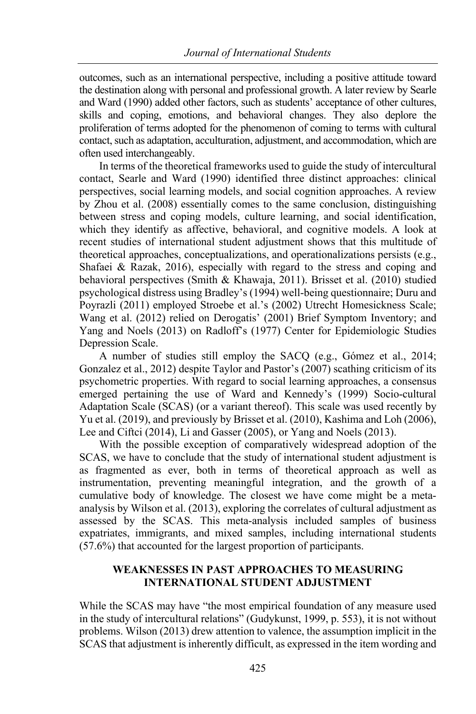outcomes, such as an international perspective, including a positive attitude toward the destination along with personal and professional growth. A later review by Searle and Ward (1990) added other factors, such as students' acceptance of other cultures, skills and coping, emotions, and behavioral changes. They also deplore the proliferation of terms adopted for the phenomenon of coming to terms with cultural contact, such as adaptation, acculturation, adjustment, and accommodation, which are often used interchangeably.

In terms of the theoretical frameworks used to guide the study of intercultural contact, Searle and Ward (1990) identified three distinct approaches: clinical perspectives, social learning models, and social cognition approaches. A review by Zhou et al. (2008) essentially comes to the same conclusion, distinguishing between stress and coping models, culture learning, and social identification, which they identify as affective, behavioral, and cognitive models. A look at recent studies of international student adjustment shows that this multitude of theoretical approaches, conceptualizations, and operationalizations persists (e.g., Shafaei & Razak, 2016), especially with regard to the stress and coping and behavioral perspectives (Smith & Khawaja, 2011). Brisset et al. (2010) studied psychological distress using Bradley's (1994) well-being questionnaire; Duru and Poyrazli (2011) employed Stroebe et al.'s (2002) Utrecht Homesickness Scale; Wang et al. (2012) relied on Derogatis' (2001) Brief Symptom Inventory; and Yang and Noels (2013) on Radloff's (1977) Center for Epidemiologic Studies Depression Scale.

A number of studies still employ the SACQ (e.g., Gómez et al., 2014; Gonzalez et al., 2012) despite Taylor and Pastor's (2007) scathing criticism of its psychometric properties. With regard to social learning approaches, a consensus emerged pertaining the use of Ward and Kennedy's (1999) Socio-cultural Adaptation Scale (SCAS) (or a variant thereof). This scale was used recently by Yu et al. (2019), and previously by Brisset et al. (2010), Kashima and Loh (2006), Lee and Ciftci (2014), Li and Gasser (2005), or Yang and Noels (2013).

With the possible exception of comparatively widespread adoption of the SCAS, we have to conclude that the study of international student adjustment is as fragmented as ever, both in terms of theoretical approach as well as instrumentation, preventing meaningful integration, and the growth of a cumulative body of knowledge. The closest we have come might be a metaanalysis by Wilson et al. (2013), exploring the correlates of cultural adjustment as assessed by the SCAS. This meta-analysis included samples of business expatriates, immigrants, and mixed samples, including international students (57.6%) that accounted for the largest proportion of participants.

# **WEAKNESSES IN PAST APPROACHES TO MEASURING INTERNATIONAL STUDENT ADJUSTMENT**

While the SCAS may have "the most empirical foundation of any measure used in the study of intercultural relations" (Gudykunst, 1999, p. 553), it is not without problems. Wilson (2013) drew attention to valence, the assumption implicit in the SCAS that adjustment is inherently difficult, as expressed in the item wording and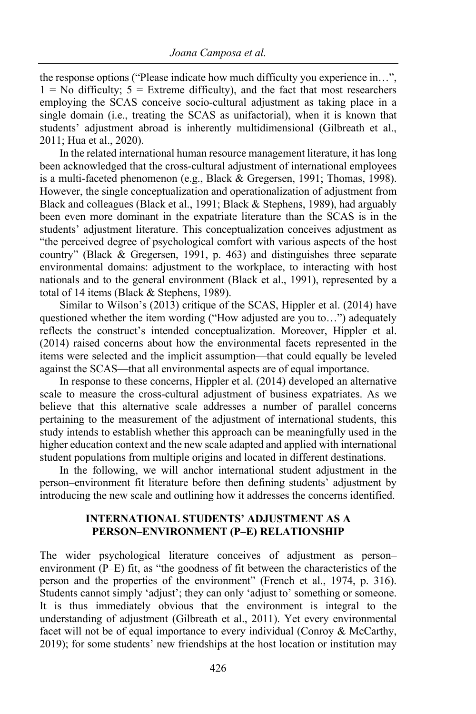the response options ("Please indicate how much difficulty you experience in…",  $1 =$  No difficulty;  $5 =$  Extreme difficulty), and the fact that most researchers employing the SCAS conceive socio-cultural adjustment as taking place in a single domain (i.e., treating the SCAS as unifactorial), when it is known that students' adjustment abroad is inherently multidimensional (Gilbreath et al., 2011; Hua et al., 2020).

In the related international human resource management literature, it has long been acknowledged that the cross-cultural adjustment of international employees is a multi-faceted phenomenon (e.g., Black & Gregersen, 1991; Thomas, 1998). However, the single conceptualization and operationalization of adjustment from Black and colleagues (Black et al., 1991; Black & Stephens, 1989), had arguably been even more dominant in the expatriate literature than the SCAS is in the students' adjustment literature. This conceptualization conceives adjustment as "the perceived degree of psychological comfort with various aspects of the host country" (Black & Gregersen, 1991, p. 463) and distinguishes three separate environmental domains: adjustment to the workplace, to interacting with host nationals and to the general environment (Black et al., 1991), represented by a total of 14 items (Black & Stephens, 1989).

Similar to Wilson's (2013) critique of the SCAS, Hippler et al. (2014) have questioned whether the item wording ("How adjusted are you to…") adequately reflects the construct's intended conceptualization. Moreover, Hippler et al. (2014) raised concerns about how the environmental facets represented in the items were selected and the implicit assumption—that could equally be leveled against the SCAS—that all environmental aspects are of equal importance.

In response to these concerns, Hippler et al. (2014) developed an alternative scale to measure the cross-cultural adjustment of business expatriates. As we believe that this alternative scale addresses a number of parallel concerns pertaining to the measurement of the adjustment of international students, this study intends to establish whether this approach can be meaningfully used in the higher education context and the new scale adapted and applied with international student populations from multiple origins and located in different destinations.

In the following, we will anchor international student adjustment in the person–environment fit literature before then defining students' adjustment by introducing the new scale and outlining how it addresses the concerns identified.

# **INTERNATIONAL STUDENTS' ADJUSTMENT AS A PERSON–ENVIRONMENT (P–E) RELATIONSHIP**

The wider psychological literature conceives of adjustment as person– environment (P–E) fit, as "the goodness of fit between the characteristics of the person and the properties of the environment" (French et al., 1974, p. 316). Students cannot simply 'adjust'; they can only 'adjust to' something or someone. It is thus immediately obvious that the environment is integral to the understanding of adjustment (Gilbreath et al., 2011). Yet every environmental facet will not be of equal importance to every individual (Conroy & McCarthy, 2019); for some students' new friendships at the host location or institution may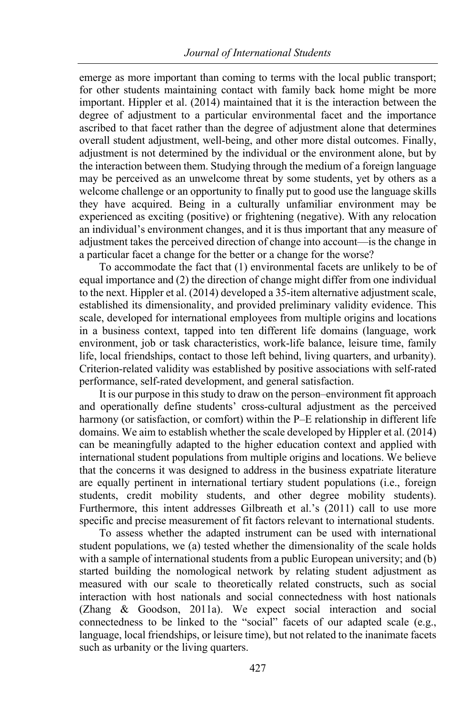emerge as more important than coming to terms with the local public transport; for other students maintaining contact with family back home might be more important. Hippler et al. (2014) maintained that it is the interaction between the degree of adjustment to a particular environmental facet and the importance ascribed to that facet rather than the degree of adjustment alone that determines overall student adjustment, well-being, and other more distal outcomes. Finally, adjustment is not determined by the individual or the environment alone, but by the interaction between them. Studying through the medium of a foreign language may be perceived as an unwelcome threat by some students, yet by others as a welcome challenge or an opportunity to finally put to good use the language skills they have acquired. Being in a culturally unfamiliar environment may be experienced as exciting (positive) or frightening (negative). With any relocation an individual's environment changes, and it is thus important that any measure of adjustment takes the perceived direction of change into account—is the change in a particular facet a change for the better or a change for the worse?

To accommodate the fact that (1) environmental facets are unlikely to be of equal importance and (2) the direction of change might differ from one individual to the next. Hippler et al. (2014) developed a 35-item alternative adjustment scale, established its dimensionality, and provided preliminary validity evidence. This scale, developed for international employees from multiple origins and locations in a business context, tapped into ten different life domains (language, work environment, job or task characteristics, work-life balance, leisure time, family life, local friendships, contact to those left behind, living quarters, and urbanity). Criterion-related validity was established by positive associations with self-rated performance, self-rated development, and general satisfaction.

It is our purpose in this study to draw on the person–environment fit approach and operationally define students' cross-cultural adjustment as the perceived harmony (or satisfaction, or comfort) within the P–E relationship in different life domains. We aim to establish whether the scale developed by Hippler et al. (2014) can be meaningfully adapted to the higher education context and applied with international student populations from multiple origins and locations. We believe that the concerns it was designed to address in the business expatriate literature are equally pertinent in international tertiary student populations (i.e., foreign students, credit mobility students, and other degree mobility students). Furthermore, this intent addresses Gilbreath et al.'s (2011) call to use more specific and precise measurement of fit factors relevant to international students.

To assess whether the adapted instrument can be used with international student populations, we (a) tested whether the dimensionality of the scale holds with a sample of international students from a public European university; and (b) started building the nomological network by relating student adjustment as measured with our scale to theoretically related constructs, such as social interaction with host nationals and social connectedness with host nationals (Zhang & Goodson, 2011a). We expect social interaction and social connectedness to be linked to the "social" facets of our adapted scale (e.g., language, local friendships, or leisure time), but not related to the inanimate facets such as urbanity or the living quarters.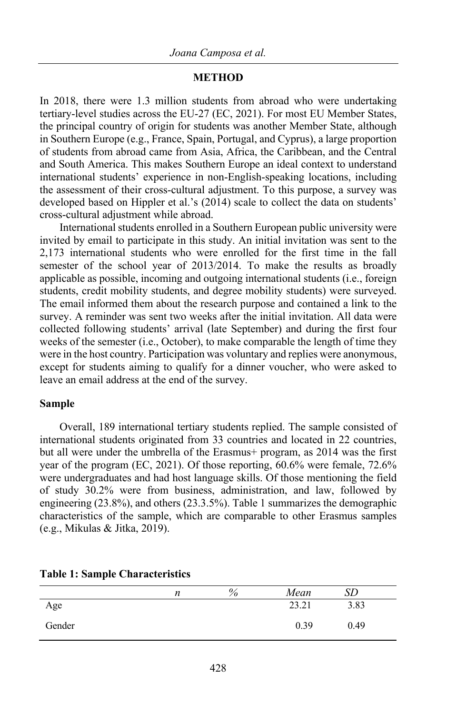#### **METHOD**

In 2018, there were 1.3 million students from abroad who were undertaking tertiary-level studies across the EU-27 (EC, 2021). For most EU Member States, the principal country of origin for students was another Member State, although in Southern Europe (e.g., France, Spain, Portugal, and Cyprus), a large proportion of students from abroad came from Asia, Africa, the Caribbean, and the Central and South America. This makes Southern Europe an ideal context to understand international students' experience in non-English-speaking locations, including the assessment of their cross-cultural adjustment. To this purpose, a survey was developed based on Hippler et al.'s (2014) scale to collect the data on students' cross-cultural adjustment while abroad.

International students enrolled in a Southern European public university were invited by email to participate in this study. An initial invitation was sent to the 2,173 international students who were enrolled for the first time in the fall semester of the school year of 2013/2014. To make the results as broadly applicable as possible, incoming and outgoing international students (i.e., foreign students, credit mobility students, and degree mobility students) were surveyed. The email informed them about the research purpose and contained a link to the survey. A reminder was sent two weeks after the initial invitation. All data were collected following students' arrival (late September) and during the first four weeks of the semester (i.e., October), to make comparable the length of time they were in the host country. Participation was voluntary and replies were anonymous, except for students aiming to qualify for a dinner voucher, who were asked to leave an email address at the end of the survey.

#### **Sample**

Overall, 189 international tertiary students replied. The sample consisted of international students originated from 33 countries and located in 22 countries, but all were under the umbrella of the Erasmus+ program, as 2014 was the first year of the program (EC, 2021). Of those reporting, 60.6% were female, 72.6% were undergraduates and had host language skills. Of those mentioning the field of study 30.2% were from business, administration, and law, followed by engineering (23.8%), and others (23.3.5%). Table 1 summarizes the demographic characteristics of the sample, which are comparable to other Erasmus samples (e.g., Mikulas & Jitka, 2019).

|        | n | $\%$ | Mean  | SD   |  |
|--------|---|------|-------|------|--|
| Age    |   |      | 23.21 | 3.83 |  |
| Gender |   |      | 0.39  | 0.49 |  |

#### **Table 1: Sample Characteristics**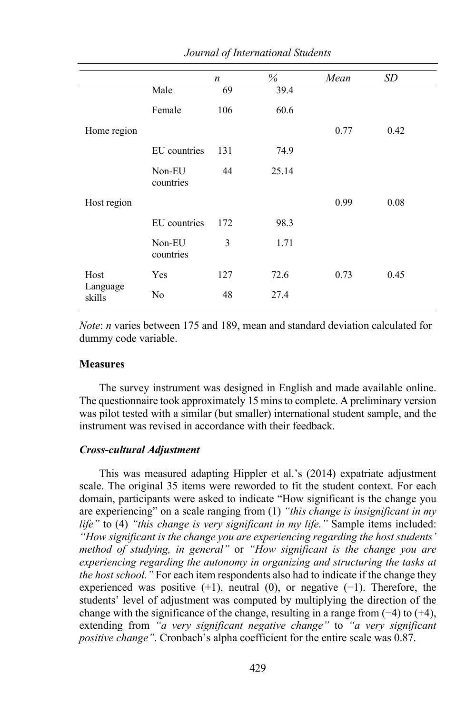|                    |                     | n   | $\%$  | Mean | SD   |  |
|--------------------|---------------------|-----|-------|------|------|--|
|                    | Male                | 69  | 39.4  |      |      |  |
|                    | Female              | 106 | 60.6  |      |      |  |
| Home region        |                     |     |       | 0.77 | 0.42 |  |
|                    | EU countries        | 131 | 74.9  |      |      |  |
|                    | Non-EU<br>countries | 44  | 25.14 |      |      |  |
| Host region        |                     |     |       | 0.99 | 0.08 |  |
|                    | EU countries        | 172 | 98.3  |      |      |  |
|                    | Non-EU<br>countries | 3   | 1.71  |      |      |  |
| Host               | Yes                 | 127 | 72.6  | 0.73 | 0.45 |  |
| Language<br>skills | No                  | 48  | 27.4  |      |      |  |

*Journal of International Students*

*Note*: *n* varies between 175 and 189, mean and standard deviation calculated for dummy code variable.

#### **Measures**

The survey instrument was designed in English and made available online. The questionnaire took approximately 15 mins to complete. A preliminary version was pilot tested with a similar (but smaller) international student sample, and the instrument was revised in accordance with their feedback.

#### *Cross-cultural Adjustment*

This was measured adapting Hippler et al.'s (2014) expatriate adjustment scale. The original 35 items were reworded to fit the student context. For each domain, participants were asked to indicate "How significant is the change you are experiencing" on a scale ranging from (1) *"this change is insignificant in my life"* to (4) *"this change is very significant in my life."* Sample items included: *"How significant is the change you are experiencing regarding the host students' method of studying, in general"* or *"How significant is the change you are experiencing regarding the autonomy in organizing and structuring the tasks at the host school."* For each item respondents also had to indicate if the change they experienced was positive  $(+1)$ , neutral  $(0)$ , or negative  $(-1)$ . Therefore, the students' level of adjustment was computed by multiplying the direction of the change with the significance of the change, resulting in a range from (−4) to (+4), extending from *"a very significant negative change"* to *"a very significant positive change"*. Cronbach's alpha coefficient for the entire scale was 0.87.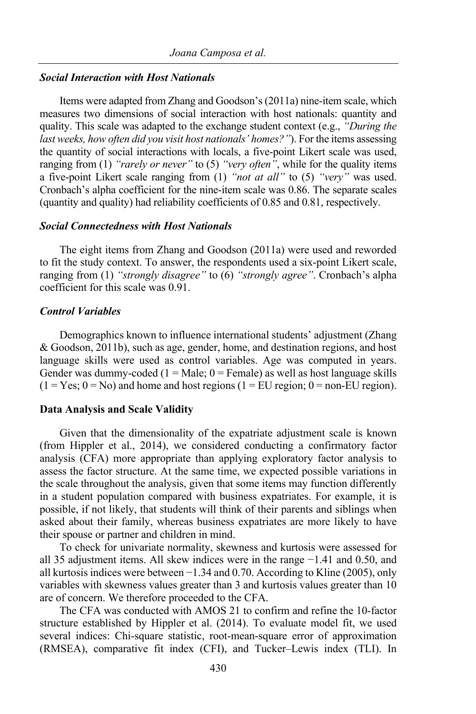#### *Social Interaction with Host Nationals*

Items were adapted from Zhang and Goodson's (2011a) nine-item scale, which measures two dimensions of social interaction with host nationals: quantity and quality. This scale was adapted to the exchange student context (e.g., *"During the last weeks, how often did you visit host nationals' homes?"*). For the items assessing the quantity of social interactions with locals, a five-point Likert scale was used, ranging from (1) *"rarely or never"* to (5) *"very often"*, while for the quality items a five-point Likert scale ranging from (1) *"not at all"* to (5) *"very"* was used. Cronbach's alpha coefficient for the nine-item scale was 0.86. The separate scales (quantity and quality) had reliability coefficients of 0.85 and 0.81, respectively.

#### *Social Connectedness with Host Nationals*

The eight items from Zhang and Goodson (2011a) were used and reworded to fit the study context. To answer, the respondents used a six-point Likert scale, ranging from (1) *"strongly disagree"* to (6) *"strongly agree"*. Cronbach's alpha coefficient for this scale was 0.91.

## *Control Variables*

Demographics known to influence international students' adjustment (Zhang & Goodson, 2011b), such as age, gender, home, and destination regions, and host language skills were used as control variables. Age was computed in years. Gender was dummy-coded  $(1 = Male; 0 = Female)$  as well as host language skills  $(1 = Yes; 0 = No)$  and home and host regions  $(1 = EU$  region;  $0 = non-EU$  region).

#### **Data Analysis and Scale Validity**

Given that the dimensionality of the expatriate adjustment scale is known (from Hippler et al., 2014), we considered conducting a confirmatory factor analysis (CFA) more appropriate than applying exploratory factor analysis to assess the factor structure. At the same time, we expected possible variations in the scale throughout the analysis, given that some items may function differently in a student population compared with business expatriates. For example, it is possible, if not likely, that students will think of their parents and siblings when asked about their family, whereas business expatriates are more likely to have their spouse or partner and children in mind.

To check for univariate normality, skewness and kurtosis were assessed for all 35 adjustment items. All skew indices were in the range −1.41 and 0.50, and all kurtosis indices were between −1.34 and 0.70. According to Kline (2005), only variables with skewness values greater than 3 and kurtosis values greater than 10 are of concern. We therefore proceeded to the CFA.

The CFA was conducted with AMOS 21 to confirm and refine the 10-factor structure established by Hippler et al. (2014). To evaluate model fit, we used several indices: Chi-square statistic, root-mean-square error of approximation (RMSEA), comparative fit index (CFI), and Tucker–Lewis index (TLI). In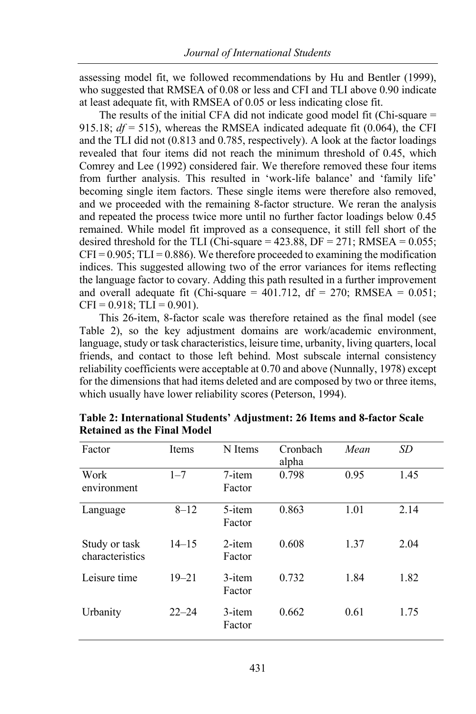assessing model fit, we followed recommendations by Hu and Bentler (1999), who suggested that RMSEA of 0.08 or less and CFI and TLI above 0.90 indicate at least adequate fit, with RMSEA of 0.05 or less indicating close fit.

The results of the initial CFA did not indicate good model fit (Chi-square = 915.18;  $df = 515$ ), whereas the RMSEA indicated adequate fit (0.064), the CFI and the TLI did not (0.813 and 0.785, respectively). A look at the factor loadings revealed that four items did not reach the minimum threshold of 0.45, which Comrey and Lee (1992) considered fair. We therefore removed these four items from further analysis. This resulted in 'work-life balance' and 'family life' becoming single item factors. These single items were therefore also removed, and we proceeded with the remaining 8-factor structure. We reran the analysis and repeated the process twice more until no further factor loadings below 0.45 remained. While model fit improved as a consequence, it still fell short of the desired threshold for the TLI (Chi-square =  $423.88$ , DF =  $271$ ; RMSEA =  $0.055$ ;  $CFI = 0.905$ ; TLI = 0.886). We therefore proceeded to examining the modification indices. This suggested allowing two of the error variances for items reflecting the language factor to covary. Adding this path resulted in a further improvement and overall adequate fit (Chi-square =  $401.712$ , df =  $270$ ; RMSEA =  $0.051$ ;  $CFI = 0.918$ ; TLI = 0.901).

This 26-item, 8-factor scale was therefore retained as the final model (see Table 2), so the key adjustment domains are work/academic environment, language, study or task characteristics, leisure time, urbanity, living quarters, local friends, and contact to those left behind. Most subscale internal consistency reliability coefficients were acceptable at 0.70 and above (Nunnally, 1978) except for the dimensions that had items deleted and are composed by two or three items, which usually have lower reliability scores (Peterson, 1994).

| Factor                           | <b>Items</b> | N Items             | Cronbach<br>alpha | Mean | SD   |
|----------------------------------|--------------|---------------------|-------------------|------|------|
| Work<br>environment              | $1 - 7$      | $7$ -item<br>Factor | 0.798             | 0.95 | 1.45 |
| Language                         | $8 - 12$     | 5-item<br>Factor    | 0.863             | 1.01 | 2.14 |
| Study or task<br>characteristics | $14 - 15$    | $2$ -item<br>Factor | 0.608             | 1.37 | 2.04 |
| Leisure time                     | $19 - 21$    | $3$ -item<br>Factor | 0.732             | 1.84 | 1.82 |
| Urbanity                         | $22 - 24$    | 3-item<br>Factor    | 0.662             | 0.61 | 1.75 |

**Table 2: International Students' Adjustment: 26 Items and 8-factor Scale Retained as the Final Model**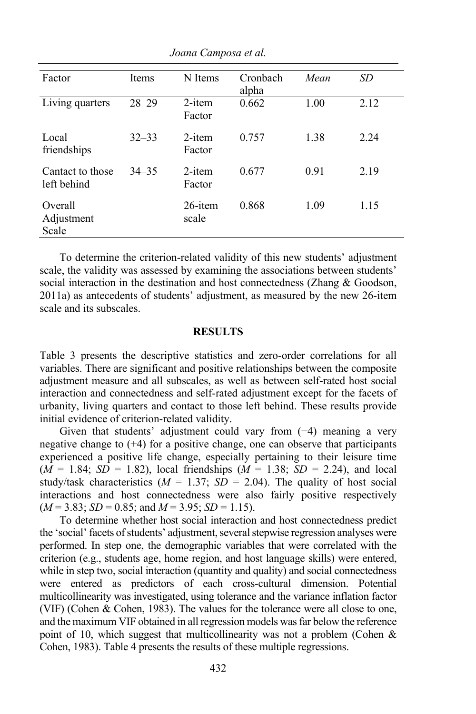| Factor                          | <b>Items</b> | N Items             | Cronbach<br>alpha | Mean | SD   |
|---------------------------------|--------------|---------------------|-------------------|------|------|
| Living quarters                 | $28 - 29$    | $2$ -item<br>Factor | 0.662             | 1.00 | 2.12 |
| Local<br>friendships            | $32 - 33$    | $2$ -item<br>Factor | 0.757             | 1.38 | 2.24 |
| Cantact to those<br>left behind | $34 - 35$    | $2$ -item<br>Factor | 0.677             | 0.91 | 2.19 |
| Overall<br>Adjustment<br>Scale  |              | 26-item<br>scale    | 0.868             | 1.09 | 1.15 |

*Joana Camposa et al.*

To determine the criterion-related validity of this new students' adjustment scale, the validity was assessed by examining the associations between students' social interaction in the destination and host connectedness (Zhang & Goodson, 2011a) as antecedents of students' adjustment, as measured by the new 26-item scale and its subscales.

#### **RESULTS**

Table 3 presents the descriptive statistics and zero-order correlations for all variables. There are significant and positive relationships between the composite adjustment measure and all subscales, as well as between self-rated host social interaction and connectedness and self-rated adjustment except for the facets of urbanity, living quarters and contact to those left behind. These results provide initial evidence of criterion-related validity.

Given that students' adjustment could vary from (−4) meaning a very negative change to  $(+4)$  for a positive change, one can observe that participants experienced a positive life change, especially pertaining to their leisure time  $(M = 1.84; SD = 1.82)$ , local friendships  $(M = 1.38; SD = 2.24)$ , and local study/task characteristics  $(M = 1.37; SD = 2.04)$ . The quality of host social interactions and host connectedness were also fairly positive respectively  $(M = 3.83; SD = 0.85; and M = 3.95; SD = 1.15).$ 

To determine whether host social interaction and host connectedness predict the 'social' facets of students' adjustment, several stepwise regression analyses were performed. In step one, the demographic variables that were correlated with the criterion (e.g., students age, home region, and host language skills) were entered, while in step two, social interaction (quantity and quality) and social connectedness were entered as predictors of each cross-cultural dimension. Potential multicollinearity was investigated, using tolerance and the variance inflation factor (VIF) (Cohen & Cohen, 1983). The values for the tolerance were all close to one, and the maximum VIF obtained in all regression models was far below the reference point of 10, which suggest that multicollinearity was not a problem (Cohen & Cohen, 1983). Table 4 presents the results of these multiple regressions.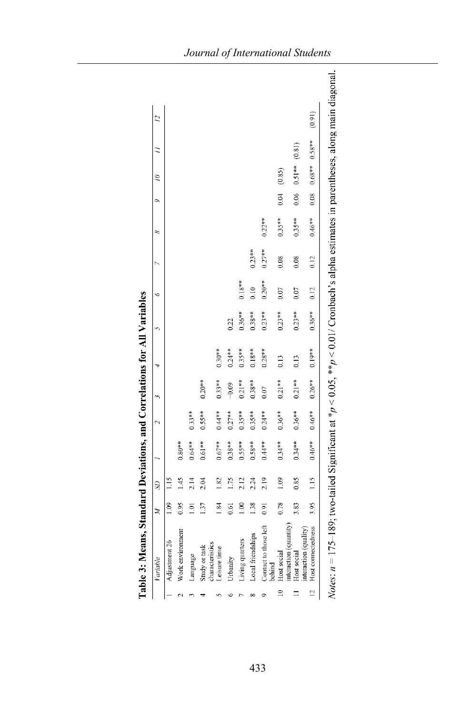|                | Variable                              | Ă              | $\mathbb{S}^1$ |           |           |           |           |           |           |           |           |      | $\tilde{=}$        | $\overline{2}$ |
|----------------|---------------------------------------|----------------|----------------|-----------|-----------|-----------|-----------|-----------|-----------|-----------|-----------|------|--------------------|----------------|
|                | Adjustment 26                         | 1.09           | 1.15           |           |           |           |           |           |           |           |           |      |                    |                |
|                | Work environment                      | 0.95           | 1.45           | $0.80**$  |           |           |           |           |           |           |           |      |                    |                |
|                | Language                              | $\Xi$          | 2.14           | $0.64**$  | $0.33**$  |           |           |           |           |           |           |      |                    |                |
|                | characteristics<br>Study or task      | 137            | 2.04           | $0.61***$ | $0.55**$  | $0.20***$ |           |           |           |           |           |      |                    |                |
|                | Leisure time                          | 1.84           | $\overline{8}$ | $0.67***$ | $0.44**$  | $0.33***$ | $0.30***$ |           |           |           |           |      |                    |                |
|                | Urbanity                              | 0.61           | $\sim$         | $0.38***$ | $0.27***$ | $-0.09$   | $0.24***$ | 0.22      |           |           |           |      |                    |                |
|                | Living quarters                       | $\frac{8}{10}$ | 2.12           | $0.55***$ | $0.35***$ | $0.21***$ | $0.35***$ | $0.36***$ | $0.18***$ |           |           |      |                    |                |
|                | Local friendships                     | 1.38           | 2.24           | $0.58***$ | $0.35***$ | $0.38***$ | $0.18***$ | $0.38***$ | 0.10      | $0.23***$ |           |      |                    |                |
|                | Contact to those left<br>buind        | 0.91           | 2.19           | $0.44**$  | $0.24**$  | 0.07      | $0.28**$  | $0.23**$  | $0.20**$  | $0.27**$  | $0.22***$ |      |                    |                |
| $\equiv$       | interaction (quantity)<br>Host social | 0.78           | 1.09           | $0.34**$  | $0.36***$ | $0.21***$ | 0.13      | $0.23**$  | 0.07      | 0.08      | $0.35***$ | 0.04 | (0.85)             |                |
|                | interaction (quality)<br>Host social  | 3.83           | 0.85           | $0.34***$ | $0.36***$ | $0.21***$ | 0.13      | $0.23***$ | 0.07      | 0.08      | $0.35***$ | 0.06 | $0.51***$ $(0.81)$ |                |
| $\overline{c}$ | Host connectedness                    | 3.95           | 1.15           | $0.46***$ | $0.46***$ | $0.26***$ | $0.19***$ | $0.36***$ | 0.12      | 0.12      | $0.46***$ | 0.08 | $0.68***$ 0.58**   | (0.91)         |

ne for All Variables  $d$ atio n<sub>nd</sub> C ndard Davistion  $\ddot{a}$ ķ Table 3: Mea

433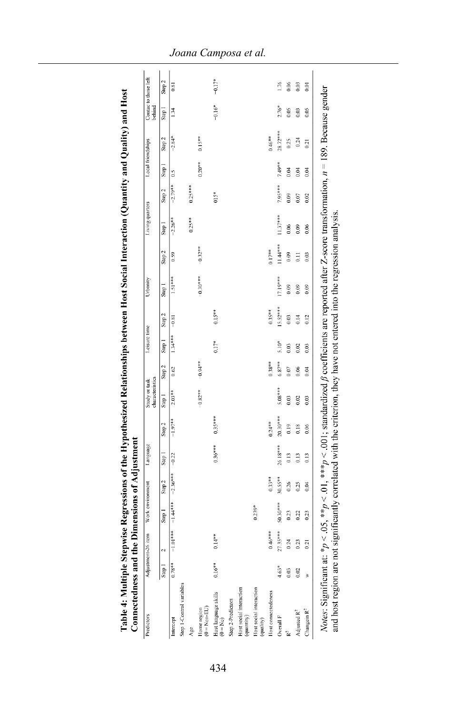| Predictors                            |                   | Adjustment-26 item | Work environment                 |           | Language   |            | characteristics<br>Study or task |            | Leisure time      |                   | Urbanity          |                   | Living quarters |                   | Local friendships |            | Contac to those left<br>behind |                   |
|---------------------------------------|-------------------|--------------------|----------------------------------|-----------|------------|------------|----------------------------------|------------|-------------------|-------------------|-------------------|-------------------|-----------------|-------------------|-------------------|------------|--------------------------------|-------------------|
|                                       | Step <sub>1</sub> | $\overline{c}$     | Step 1                           | Step 2    | Step 1     | Step 2     | Step <sub>1</sub>                | Step 2     | Step <sub>1</sub> | Step <sub>2</sub> | Step <sub>1</sub> | Step <sub>2</sub> | Step 1          | Step <sub>2</sub> | Step <sub>1</sub> | Step 2     | Step <sub>1</sub>              | Step <sub>2</sub> |
| Intercept                             | $0.78***$         |                    | $-1.01***$ $-1.44***$ $-2.36***$ |           |            | $-1.97**$  | $2.03***$                        | 0.62       | $1.34***$         | $-0.81$           | 1.51***           | 0.59              | $-2.26**$       | $-2.79**$         | 0.5               | $-2.84*$   | 1.34                           | 0.81              |
| Step 1-Control variables              |                   |                    |                                  |           |            |            |                                  |            |                   |                   |                   |                   |                 |                   |                   |            |                                |                   |
| Age                                   |                   |                    |                                  |           |            |            |                                  |            |                   |                   |                   |                   | $0.25***$       | $0.25***$         |                   |            |                                |                   |
| $(0 = \text{Non-EU})$<br>Home region  |                   |                    |                                  |           |            |            | $-0.82***$                       | $-0.94***$ |                   |                   | $-0.30***$        | $-0.32**$         |                 |                   | $0.20***$         | $0.15***$  |                                |                   |
| Host language skills<br>$(0 = No)$    | $0.16***$         | $0.14***$          |                                  |           | $0.36***$  | $0.35***$  |                                  |            | $0.17*$           | $0.15***$         |                   |                   |                 | 015*              |                   |            | $-0.16*$                       | $-0.17*$          |
| Step 2-Predictors                     |                   |                    |                                  |           |            |            |                                  |            |                   |                   |                   |                   |                 |                   |                   |            |                                |                   |
| Host social interaction<br>(quantity) |                   |                    |                                  |           |            |            |                                  |            |                   |                   |                   |                   |                 |                   |                   |            |                                |                   |
| Host social interaction<br>(quality)  |                   |                    | $0.239*$                         |           |            |            |                                  |            |                   |                   |                   |                   |                 |                   |                   |            |                                |                   |
| Host connectedeness                   |                   | $0.46***$          |                                  | $0.33***$ |            | $0.24***$  |                                  | $0.38***$  |                   | $0.35***$         |                   | $0.17***$         |                 |                   |                   | $0.46***$  |                                |                   |
| Overall F                             | $4.63*$           | $27.35***$         | 50.30 ***                        | $30.55**$ | $26.18***$ | $20.30***$ | 5.08 ***                         | $6.87***$  | $5.10*$           | $15.52***$        | 17.19***          | $11.44***$        | $11.37***$      | $7.95***$         | 7.49**            | $28.72***$ | $2.76*$                        | 1.76              |
| R <sup>2</sup>                        | 0.03              | 0.24               | 0.23                             | 0.26      | 0.13       | 0.19       | 0.03                             | 0.07       | 0.03              | 0.03              | 0.09              | 0.09              | 0.06            | 0.09              | 0.04              | 0.25       | 0.05                           | 0.06              |
| Adjusted $\mathbb{R}^2$               | 0.02              | 0.23               | 0.22                             | 0.25      | 0.13       | 0.18       | 0.02                             | 0.06       | 0.02              | 0.14              | 0.09              | $\overline{0}$    | 0.09            | 0.07              | 0.04              | 0.24       | 0.03                           | 0.03              |
| Changein $\mathbb{R}^2$               | ₹                 | 0.21               | 0.23                             | 0.04      | 0.13       | 0.06       | 0.03                             | 0.04       | 0.03              | 0.12              | 0.09              | 0.03              | 0.06            | 0.02              | 0.04              | 0.21       | 0.05                           | 0.01              |

*Joana Camposa et al.*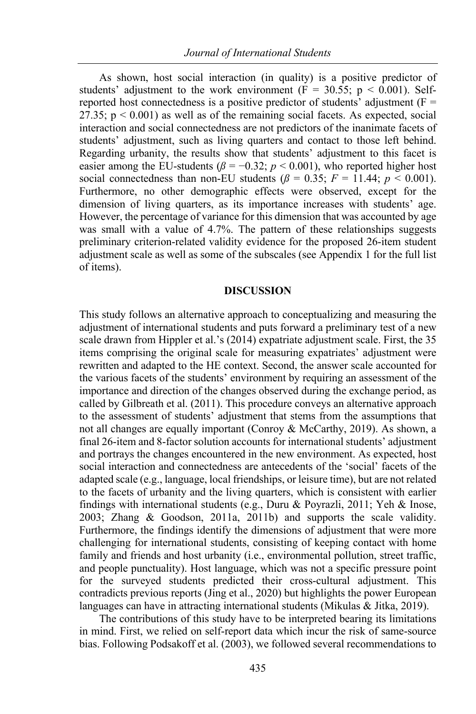As shown, host social interaction (in quality) is a positive predictor of students' adjustment to the work environment ( $F = 30.55$ ;  $p < 0.001$ ). Selfreported host connectedness is a positive predictor of students' adjustment ( $F =$ 27.35;  $p < 0.001$ ) as well as of the remaining social facets. As expected, social interaction and social connectedness are not predictors of the inanimate facets of students' adjustment, such as living quarters and contact to those left behind. Regarding urbanity, the results show that students' adjustment to this facet is easier among the EU-students ( $\beta$  = −0.32; *p* < 0.001), who reported higher host social connectedness than non-EU students  $(\beta = 0.35; F = 11.44; p < 0.001)$ . Furthermore, no other demographic effects were observed, except for the dimension of living quarters, as its importance increases with students' age. However, the percentage of variance for this dimension that was accounted by age was small with a value of 4.7%. The pattern of these relationships suggests preliminary criterion-related validity evidence for the proposed 26-item student adjustment scale as well as some of the subscales (see Appendix 1 for the full list of items).

# **DISCUSSION**

This study follows an alternative approach to conceptualizing and measuring the adjustment of international students and puts forward a preliminary test of a new scale drawn from Hippler et al.'s (2014) expatriate adjustment scale. First, the 35 items comprising the original scale for measuring expatriates' adjustment were rewritten and adapted to the HE context. Second, the answer scale accounted for the various facets of the students' environment by requiring an assessment of the importance and direction of the changes observed during the exchange period, as called by Gilbreath et al. (2011). This procedure conveys an alternative approach to the assessment of students' adjustment that stems from the assumptions that not all changes are equally important (Conroy & McCarthy, 2019). As shown, a final 26-item and 8-factor solution accounts for international students' adjustment and portrays the changes encountered in the new environment. As expected, host social interaction and connectedness are antecedents of the 'social' facets of the adapted scale (e.g., language, local friendships, or leisure time), but are not related to the facets of urbanity and the living quarters, which is consistent with earlier findings with international students (e.g., Duru & Poyrazli, 2011; Yeh & Inose, 2003; Zhang & Goodson, 2011a, 2011b) and supports the scale validity. Furthermore, the findings identify the dimensions of adjustment that were more challenging for international students, consisting of keeping contact with home family and friends and host urbanity (i.e., environmental pollution, street traffic, and people punctuality). Host language, which was not a specific pressure point for the surveyed students predicted their cross-cultural adjustment. This contradicts previous reports (Jing et al., 2020) but highlights the power European languages can have in attracting international students (Mikulas & Jitka, 2019).

The contributions of this study have to be interpreted bearing its limitations in mind. First, we relied on self-report data which incur the risk of same-source bias. Following Podsakoff et al. (2003), we followed several recommendations to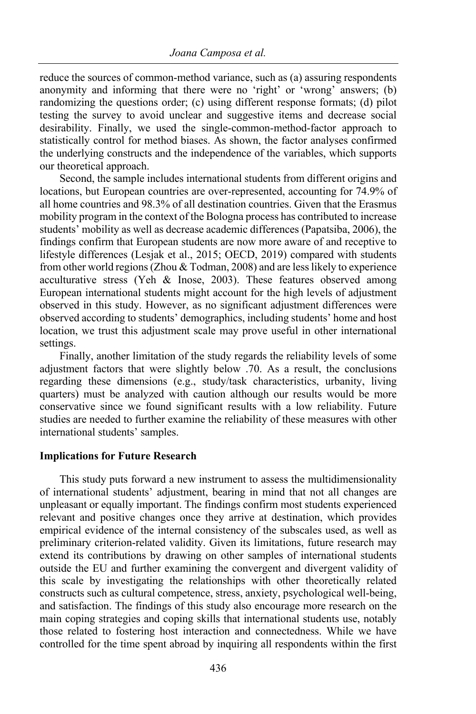reduce the sources of common-method variance, such as (a) assuring respondents anonymity and informing that there were no 'right' or 'wrong' answers; (b) randomizing the questions order; (c) using different response formats; (d) pilot testing the survey to avoid unclear and suggestive items and decrease social desirability. Finally, we used the single-common-method-factor approach to statistically control for method biases. As shown, the factor analyses confirmed the underlying constructs and the independence of the variables, which supports our theoretical approach.

Second, the sample includes international students from different origins and locations, but European countries are over-represented, accounting for 74.9% of all home countries and 98.3% of all destination countries. Given that the Erasmus mobility program in the context of the Bologna process has contributed to increase students' mobility as well as decrease academic differences (Papatsiba, 2006), the findings confirm that European students are now more aware of and receptive to lifestyle differences (Lesjak et al., 2015; OECD, 2019) compared with students from other world regions (Zhou & Todman, 2008) and are less likely to experience acculturative stress (Yeh & Inose, 2003). These features observed among European international students might account for the high levels of adjustment observed in this study. However, as no significant adjustment differences were observed according to students' demographics, including students' home and host location, we trust this adjustment scale may prove useful in other international settings.

Finally, another limitation of the study regards the reliability levels of some adjustment factors that were slightly below .70. As a result, the conclusions regarding these dimensions (e.g., study/task characteristics, urbanity, living quarters) must be analyzed with caution although our results would be more conservative since we found significant results with a low reliability. Future studies are needed to further examine the reliability of these measures with other international students' samples.

#### **Implications for Future Research**

This study puts forward a new instrument to assess the multidimensionality of international students' adjustment, bearing in mind that not all changes are unpleasant or equally important. The findings confirm most students experienced relevant and positive changes once they arrive at destination, which provides empirical evidence of the internal consistency of the subscales used, as well as preliminary criterion-related validity. Given its limitations, future research may extend its contributions by drawing on other samples of international students outside the EU and further examining the convergent and divergent validity of this scale by investigating the relationships with other theoretically related constructs such as cultural competence, stress, anxiety, psychological well-being, and satisfaction. The findings of this study also encourage more research on the main coping strategies and coping skills that international students use, notably those related to fostering host interaction and connectedness. While we have controlled for the time spent abroad by inquiring all respondents within the first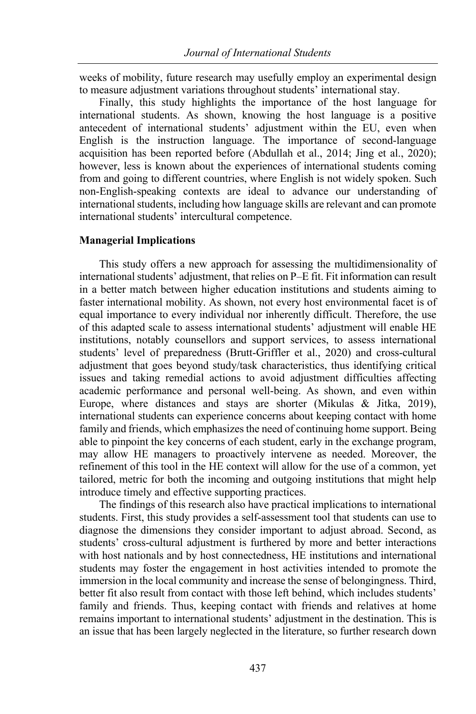weeks of mobility, future research may usefully employ an experimental design to measure adjustment variations throughout students' international stay.

Finally, this study highlights the importance of the host language for international students. As shown, knowing the host language is a positive antecedent of international students' adjustment within the EU, even when English is the instruction language. The importance of second-language acquisition has been reported before (Abdullah et al., 2014; Jing et al., 2020); however, less is known about the experiences of international students coming from and going to different countries, where English is not widely spoken. Such non-English-speaking contexts are ideal to advance our understanding of international students, including how language skills are relevant and can promote international students' intercultural competence.

## **Managerial Implications**

This study offers a new approach for assessing the multidimensionality of international students' adjustment, that relies on P–E fit. Fit information can result in a better match between higher education institutions and students aiming to faster international mobility. As shown, not every host environmental facet is of equal importance to every individual nor inherently difficult. Therefore, the use of this adapted scale to assess international students' adjustment will enable HE institutions, notably counsellors and support services, to assess international students' level of preparedness (Brutt-Griffler et al., 2020) and cross-cultural adjustment that goes beyond study/task characteristics, thus identifying critical issues and taking remedial actions to avoid adjustment difficulties affecting academic performance and personal well-being. As shown, and even within Europe, where distances and stays are shorter (Mikulas & Jitka, 2019), international students can experience concerns about keeping contact with home family and friends, which emphasizes the need of continuing home support. Being able to pinpoint the key concerns of each student, early in the exchange program, may allow HE managers to proactively intervene as needed. Moreover, the refinement of this tool in the HE context will allow for the use of a common, yet tailored, metric for both the incoming and outgoing institutions that might help introduce timely and effective supporting practices.

The findings of this research also have practical implications to international students. First, this study provides a self-assessment tool that students can use to diagnose the dimensions they consider important to adjust abroad. Second, as students' cross-cultural adjustment is furthered by more and better interactions with host nationals and by host connectedness, HE institutions and international students may foster the engagement in host activities intended to promote the immersion in the local community and increase the sense of belongingness. Third, better fit also result from contact with those left behind, which includes students' family and friends. Thus, keeping contact with friends and relatives at home remains important to international students' adjustment in the destination. This is an issue that has been largely neglected in the literature, so further research down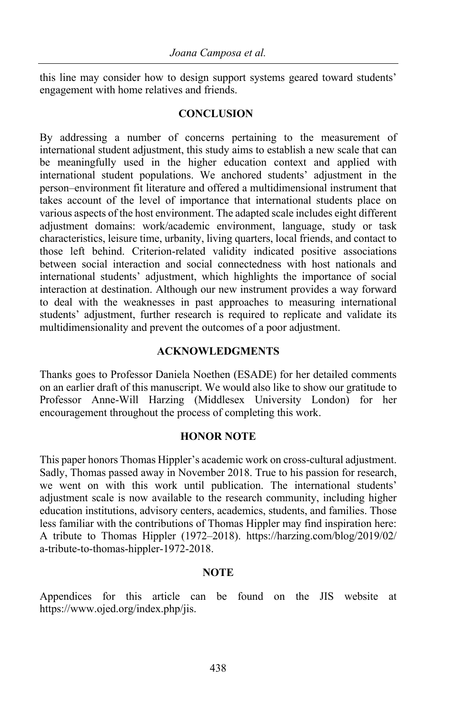this line may consider how to design support systems geared toward students' engagement with home relatives and friends.

## **CONCLUSION**

By addressing a number of concerns pertaining to the measurement of international student adjustment, this study aims to establish a new scale that can be meaningfully used in the higher education context and applied with international student populations. We anchored students' adjustment in the person–environment fit literature and offered a multidimensional instrument that takes account of the level of importance that international students place on various aspects of the host environment. The adapted scale includes eight different adjustment domains: work/academic environment, language, study or task characteristics, leisure time, urbanity, living quarters, local friends, and contact to those left behind. Criterion-related validity indicated positive associations between social interaction and social connectedness with host nationals and international students' adjustment, which highlights the importance of social interaction at destination. Although our new instrument provides a way forward to deal with the weaknesses in past approaches to measuring international students' adjustment, further research is required to replicate and validate its multidimensionality and prevent the outcomes of a poor adjustment.

#### **ACKNOWLEDGMENTS**

Thanks goes to Professor Daniela Noethen (ESADE) for her detailed comments on an earlier draft of this manuscript. We would also like to show our gratitude to Professor Anne-Will Harzing (Middlesex University London) for her encouragement throughout the process of completing this work.

## **HONOR NOTE**

This paper honors Thomas Hippler's academic work on cross-cultural adjustment. Sadly, Thomas passed away in November 2018. True to his passion for research, we went on with this work until publication. The international students' adjustment scale is now available to the research community, including higher education institutions, advisory centers, academics, students, and families. Those less familiar with the contributions of Thomas Hippler may find inspiration here: A tribute to Thomas Hippler (1972–2018). https://harzing.com/blog/2019/02/ a-tribute-to-thomas-hippler-1972-2018.

#### **NOTE**

Appendices for this article can be found on the JIS website at https://www.ojed.org/index.php/jis.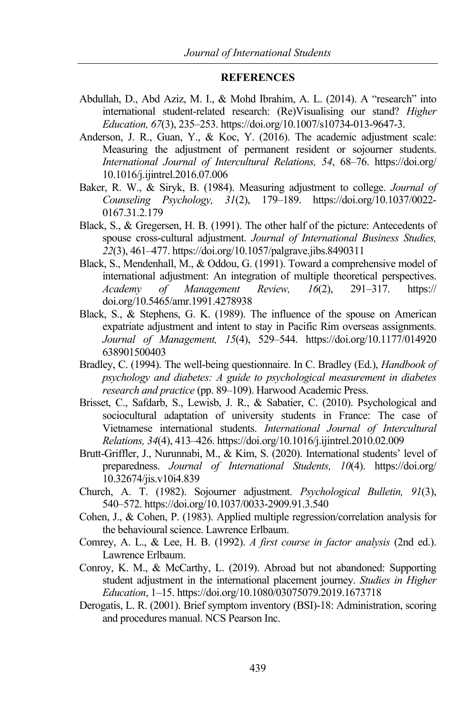#### **REFERENCES**

- Abdullah, D., Abd Aziz, M. I., & Mohd Ibrahim, A. L. (2014). A "research" into international student-related research: (Re)Visualising our stand? *Higher Education, 67*(3), 235–253. https://doi.org/10.1007/s10734-013-9647-3.
- Anderson, J. R., Guan, Y., & Koc, Y. (2016). The academic adjustment scale: Measuring the adjustment of permanent resident or sojourner students. *International Journal of Intercultural Relations, 54*, 68–76. https://doi.org/ 10.1016/j.ijintrel.2016.07.006
- Baker, R. W., & Siryk, B. (1984). Measuring adjustment to college. *Journal of Counseling Psychology, 31*(2), 179–189. https://doi.org/10.1037/0022- 0167.31.2.179
- Black, S., & Gregersen, H. B. (1991). The other half of the picture: Antecedents of spouse cross-cultural adjustment. *Journal of International Business Studies, 22*(3), 461–477. https://doi.org/10.1057/palgrave.jibs.8490311
- Black, S., Mendenhall, M., & Oddou, G. (1991). Toward a comprehensive model of international adjustment: An integration of multiple theoretical perspectives. *Academy of Management Review, 16*(2), 291–317. https:// doi.org/10.5465/amr.1991.4278938
- Black, S., & Stephens, G. K. (1989). The influence of the spouse on American expatriate adjustment and intent to stay in Pacific Rim overseas assignments. *Journal of Management, 15*(4), 529–544. https://doi.org/10.1177/014920 638901500403
- Bradley, C. (1994). The well-being questionnaire. In C. Bradley (Ed.), *Handbook of psychology and diabetes: A guide to psychological measurement in diabetes research and practice* (pp. 89–109). Harwood Academic Press.
- Brisset, C., Safdarb, S., Lewisb, J. R., & Sabatier, C. (2010). Psychological and sociocultural adaptation of university students in France: The case of Vietnamese international students. *International Journal of Intercultural Relations, 34*(4), 413–426. https://doi.org/10.1016/j.ijintrel.2010.02.009
- Brutt-Griffler, J., Nurunnabi, M., & Kim, S. (2020). International students' level of preparedness. *Journal of International Students, 10*(4). https://doi.org/ 10.32674/jis.v10i4.839
- Church, A. T. (1982). Sojourner adjustment. *Psychological Bulletin, 91*(3), 540–572. https://doi.org/10.1037/0033-2909.91.3.540
- Cohen, J., & Cohen, P. (1983). Applied multiple regression/correlation analysis for the behavioural science. Lawrence Erlbaum.
- Comrey, A. L., & Lee, H. B. (1992). *A first course in factor analysis* (2nd ed.). Lawrence Erlbaum.
- Conroy, K. M., & McCarthy, L. (2019). Abroad but not abandoned: Supporting student adjustment in the international placement journey. *Studies in Higher Education*, 1–15. https://doi.org/10.1080/03075079.2019.1673718
- Derogatis, L. R. (2001). Brief symptom inventory (BSI)-18: Administration, scoring and procedures manual. NCS Pearson Inc.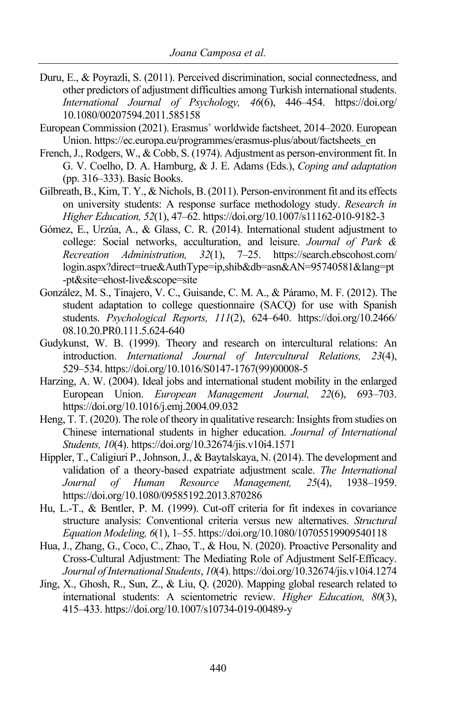- Duru, E., & Poyrazli, S. (2011). Perceived discrimination, social connectedness, and other predictors of adjustment difficulties among Turkish international students. *International Journal of Psychology, 46*(6), 446–454. https://doi.org/ 10.1080/00207594.2011.585158
- European Commission (2021). Erasmus<sup>+</sup> worldwide factsheet, 2014–2020. European Union. https://ec.europa.eu/programmes/erasmus-plus/about/factsheets\_en
- French, J., Rodgers, W., & Cobb, S. (1974). Adjustment as person-environment fit. In G. V. Coelho, D. A. Hamburg, & J. E. Adams (Eds.), *Coping and adaptation* (pp. 316–333). Basic Books.
- Gilbreath, B., Kim, T. Y., & Nichols, B. (2011). Person-environment fit and its effects on university students: A response surface methodology study. *Research in Higher Education, 52*(1), 47–62. https://doi.org/10.1007/s11162-010-9182-3
- Gómez, E., Urzúa, A., & Glass, C. R. (2014). International student adjustment to college: Social networks, acculturation, and leisure. *Journal of Park & Recreation Administration, 32*(1), 7–25. https://search.ebscohost.com/ login.aspx?direct=true&AuthType=ip,shib&db=asn&AN=95740581&lang=pt -pt&site=ehost-live&scope=site
- González, M. S., Tinajero, V. C., Guisande, C. M. A., & Páramo, M. F. (2012). The student adaptation to college questionnaire (SACQ) for use with Spanish students. *Psychological Reports, 111*(2), 624–640. https://doi.org/10.2466/ 08.10.20.PR0.111.5.624-640
- Gudykunst, W. B. (1999). Theory and research on intercultural relations: An introduction. *International Journal of Intercultural Relations, 23*(4), 529–534. https://doi.org/10.1016/S0147-1767(99)00008-5
- Harzing, A. W. (2004). Ideal jobs and international student mobility in the enlarged European Union. *European Management Journal, 22*(6), 693–703. https://doi.org/10.1016/j.emj.2004.09.032
- Heng, T. T. (2020). The role of theory in qualitative research: Insights from studies on Chinese international students in higher education. *Journal of International Students, 10*(4). https://doi.org/10.32674/jis.v10i4.1571
- Hippler, T., Caligiuri P., Johnson, J., & Baytalskaya, N. (2014). The development and validation of a theory-based expatriate adjustment scale. *The International Journal of Human Resource Management, 25*(4), 1938–1959. https://doi.org/10.1080/09585192.2013.870286
- Hu, L.-T., & Bentler, P. M. (1999). Cut-off criteria for fit indexes in covariance structure analysis: Conventional criteria versus new alternatives. *Structural Equation Modeling, 6*(1), 1–55. https://doi.org/10.1080/10705519909540118
- Hua, J., Zhang, G., Coco, C., Zhao, T., & Hou, N. (2020). Proactive Personality and Cross-Cultural Adjustment: The Mediating Role of Adjustment Self-Efficacy. *Journal of International Students*, *10*(4). https://doi.org/10.32674/jis.v10i4.1274
- Jing, X., Ghosh, R., Sun, Z., & Liu, Q. (2020). Mapping global research related to international students: A scientometric review. *Higher Education, 80*(3), 415–433. https://doi.org/10.1007/s10734-019-00489-y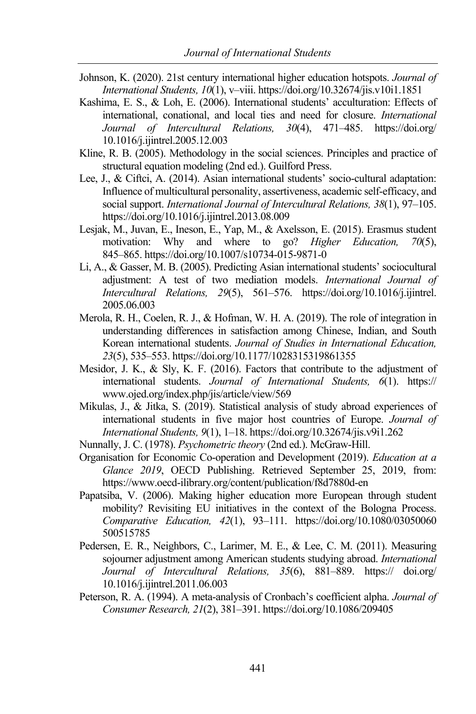- Johnson, K. (2020). 21st century international higher education hotspots. *Journal of International Students, 10*(1), v–viii. https://doi.org/10.32674/jis.v10i1.1851
- Kashima, E. S., & Loh, E. (2006). International students' acculturation: Effects of international, conational, and local ties and need for closure. *International Journal of Intercultural Relations, 30*(4), 471–485. https://doi.org/ 10.1016/j.ijintrel.2005.12.003
- Kline, R. B. (2005). Methodology in the social sciences. Principles and practice of structural equation modeling (2nd ed.). Guilford Press.
- Lee, J., & Ciftci, A. (2014). Asian international students' socio-cultural adaptation: Influence of multicultural personality, assertiveness, academic self-efficacy, and social support. *International Journal of Intercultural Relations, 38*(1), 97–105. https://doi.org/10.1016/j.ijintrel.2013.08.009
- Lesjak, M., Juvan, E., Ineson, E., Yap, M., & Axelsson, E. (2015). Erasmus student motivation: Why and where to go? *Higher Education, 70*(5), 845–865. https://doi.org/10.1007/s10734-015-9871-0
- Li, A., & Gasser, M. B. (2005). Predicting Asian international students' sociocultural adjustment: A test of two mediation models. *International Journal of Intercultural Relations, 29*(5), 561–576. https://doi.org/10.1016/j.ijintrel. 2005.06.003
- Merola, R. H., Coelen, R. J., & Hofman, W. H. A. (2019). The role of integration in understanding differences in satisfaction among Chinese, Indian, and South Korean international students. *Journal of Studies in International Education, 23*(5), 535–553. https://doi.org/10.1177/1028315319861355
- Mesidor, J. K., & Sly, K. F. (2016). Factors that contribute to the adjustment of international students. *Journal of International Students, 6*(1). https:// www.ojed.org/index.php/jis/article/view/569
- Mikulas, J., & Jitka, S. (2019). Statistical analysis of study abroad experiences of international students in five major host countries of Europe. *Journal of International Students, 9*(1), 1–18. https://doi.org/10.32674/jis.v9i1.262
- Nunnally, J. C. (1978). *Psychometric theory* (2nd ed.). McGraw-Hill.
- Organisation for Economic Co-operation and Development (2019). *Education at a Glance 2019*, OECD Publishing. Retrieved September 25, 2019, from: https://www.oecd-ilibrary.org/content/publication/f8d7880d-en
- Papatsiba, V. (2006). Making higher education more European through student mobility? Revisiting EU initiatives in the context of the Bologna Process. *Comparative Education, 42*(1), 93–111. https://doi.org/10.1080/03050060 500515785
- Pedersen, E. R., Neighbors, C., Larimer, M. E., & Lee, C. M. (2011). Measuring sojourner adjustment among American students studying abroad. *International Journal of Intercultural Relations, 35*(6), 881–889. https:// doi.org/ 10.1016/j.ijintrel.2011.06.003
- Peterson, R. A. (1994). A meta-analysis of Cronbach's coefficient alpha. *Journal of Consumer Research, 21*(2), 381–391. https://doi.org/10.1086/209405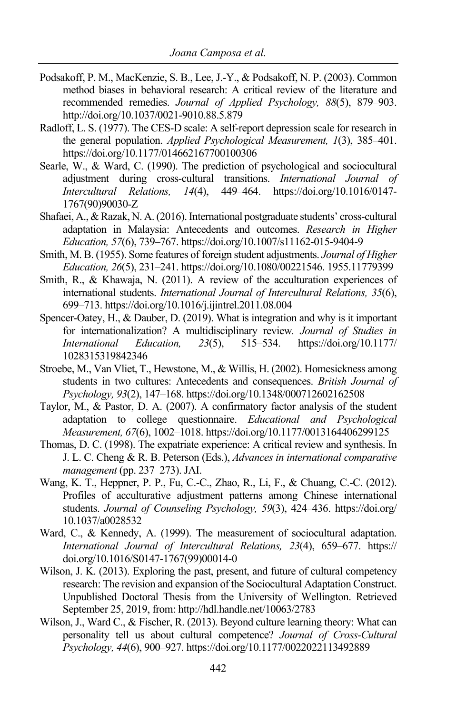- Podsakoff, P. M., MacKenzie, S. B., Lee, J.-Y., & Podsakoff, N. P. (2003). Common method biases in behavioral research: A critical review of the literature and recommended remedies. *Journal of Applied Psychology, 88*(5), 879–903. http://doi.org/10.1037/0021-9010.88.5.879
- Radloff, L. S. (1977). The CES-D scale: A self-report depression scale for research in the general population. *Applied Psychological Measurement, 1*(3), 385–401. https://doi.org/10.1177/014662167700100306
- Searle, W., & Ward, C. (1990). The prediction of psychological and sociocultural adjustment during cross-cultural transitions. *International Journal of Intercultural Relations, 14*(4), 449–464. https://doi.org/10.1016/0147- 1767(90)90030-Z
- Shafaei, A., & Razak, N. A. (2016). International postgraduate students' cross-cultural adaptation in Malaysia: Antecedents and outcomes. *Research in Higher Education, 57*(6), 739–767. https://doi.org/10.1007/s11162-015-9404-9
- Smith, M. B. (1955). Some features of foreign student adjustments. *Journal of Higher Education, 26*(5), 231–241. https://doi.org/10.1080/00221546. 1955.11779399
- Smith, R., & Khawaja, N. (2011). A review of the acculturation experiences of international students. *International Journal of Intercultural Relations, 35*(6), 699–713. https://doi.org/10.1016/j.ijintrel.2011.08.004
- Spencer-Oatey, H., & Dauber, D. (2019). What is integration and why is it important for internationalization? A multidisciplinary review*. Journal of Studies in International Education, 23*(5), 515–534. https://doi.org/10.1177/ 1028315319842346
- Stroebe, M., Van Vliet, T., Hewstone, M., & Willis, H. (2002). Homesickness among students in two cultures: Antecedents and consequences. *British Journal of Psychology, 93*(2), 147–168. https://doi.org/10.1348/000712602162508
- Taylor, M., & Pastor, D. A. (2007). A confirmatory factor analysis of the student adaptation to college questionnaire. *Educational and Psychological Measurement, 67*(6), 1002–1018. https://doi.org/10.1177/0013164406299125
- Thomas, D. C. (1998). The expatriate experience: A critical review and synthesis. In J. L. C. Cheng & R. B. Peterson (Eds.), *Advances in international comparative management* (pp. 237–273). JAI.
- Wang, K. T., Heppner, P. P., Fu, C.-C., Zhao, R., Li, F., & Chuang, C.-C. (2012). Profiles of acculturative adjustment patterns among Chinese international students. *Journal of Counseling Psychology, 59*(3), 424-436. https://doi.org/ 10.1037/a0028532
- Ward, C., & Kennedy, A. (1999). The measurement of sociocultural adaptation. *International Journal of Intercultural Relations, 23*(4), 659–677. https:// doi.org/10.1016/S0147-1767(99)00014-0
- Wilson, J. K. (2013). Exploring the past, present, and future of cultural competency research: The revision and expansion of the Sociocultural Adaptation Construct. Unpublished Doctoral Thesis from the University of Wellington. Retrieved September 25, 2019, from: http://hdl.handle.net/10063/2783
- Wilson, J., Ward C., & Fischer, R. (2013). Beyond culture learning theory: What can personality tell us about cultural competence? *Journal of Cross-Cultural Psychology, 44*(6), 900–927. https://doi.org/10.1177/0022022113492889